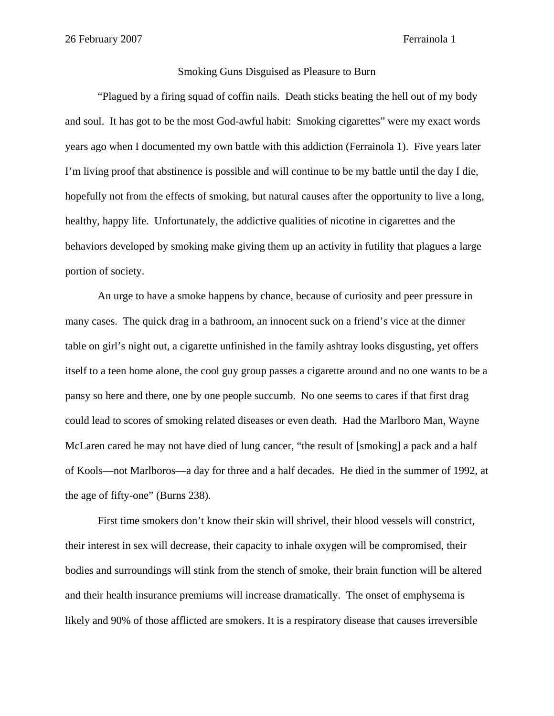## Smoking Guns Disguised as Pleasure to Burn

"Plagued by a firing squad of coffin nails. Death sticks beating the hell out of my body and soul. It has got to be the most God-awful habit: Smoking cigarettes" were my exact words years ago when I documented my own battle with this addiction (Ferrainola 1). Five years later I'm living proof that abstinence is possible and will continue to be my battle until the day I die, hopefully not from the effects of smoking, but natural causes after the opportunity to live a long, healthy, happy life. Unfortunately, the addictive qualities of nicotine in cigarettes and the behaviors developed by smoking make giving them up an activity in futility that plagues a large portion of society.

An urge to have a smoke happens by chance, because of curiosity and peer pressure in many cases. The quick drag in a bathroom, an innocent suck on a friend's vice at the dinner table on girl's night out, a cigarette unfinished in the family ashtray looks disgusting, yet offers itself to a teen home alone, the cool guy group passes a cigarette around and no one wants to be a pansy so here and there, one by one people succumb. No one seems to cares if that first drag could lead to scores of smoking related diseases or even death. Had the Marlboro Man, Wayne McLaren cared he may not have died of lung cancer, "the result of [smoking] a pack and a half of Kools—not Marlboros—a day for three and a half decades. He died in the summer of 1992, at the age of fifty-one" (Burns 238).

First time smokers don't know their skin will shrivel, their blood vessels will constrict, their interest in sex will decrease, their capacity to inhale oxygen will be compromised, their bodies and surroundings will stink from the stench of smoke, their brain function will be altered and their health insurance premiums will increase dramatically. The onset of emphysema is likely and 90% of those afflicted are smokers. It is a respiratory disease that causes irreversible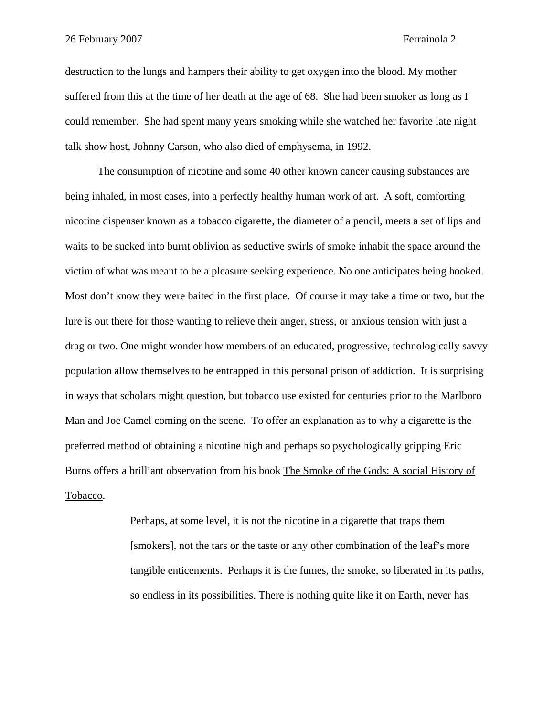destruction to the lungs and hampers their ability to get oxygen into the blood. My mother suffered from this at the time of her death at the age of 68. She had been smoker as long as I could remember. She had spent many years smoking while she watched her favorite late night talk show host, Johnny Carson, who also died of emphysema, in 1992.

The consumption of nicotine and some 40 other known cancer causing substances are being inhaled, in most cases, into a perfectly healthy human work of art. A soft, comforting nicotine dispenser known as a tobacco cigarette, the diameter of a pencil, meets a set of lips and waits to be sucked into burnt oblivion as seductive swirls of smoke inhabit the space around the victim of what was meant to be a pleasure seeking experience. No one anticipates being hooked. Most don't know they were baited in the first place. Of course it may take a time or two, but the lure is out there for those wanting to relieve their anger, stress, or anxious tension with just a drag or two. One might wonder how members of an educated, progressive, technologically savvy population allow themselves to be entrapped in this personal prison of addiction. It is surprising in ways that scholars might question, but tobacco use existed for centuries prior to the Marlboro Man and Joe Camel coming on the scene. To offer an explanation as to why a cigarette is the preferred method of obtaining a nicotine high and perhaps so psychologically gripping Eric Burns offers a brilliant observation from his book The Smoke of the Gods: A social History of Tobacco.

> Perhaps, at some level, it is not the nicotine in a cigarette that traps them [smokers], not the tars or the taste or any other combination of the leaf's more tangible enticements. Perhaps it is the fumes, the smoke, so liberated in its paths, so endless in its possibilities. There is nothing quite like it on Earth, never has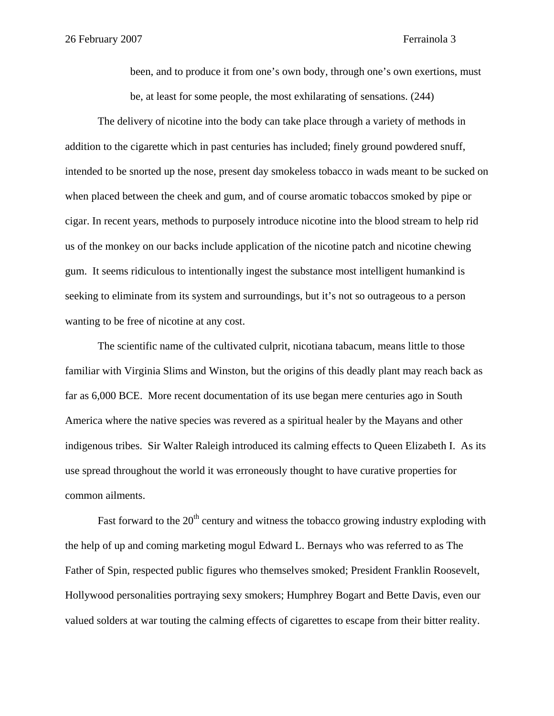been, and to produce it from one's own body, through one's own exertions, must be, at least for some people, the most exhilarating of sensations. (244)

The delivery of nicotine into the body can take place through a variety of methods in addition to the cigarette which in past centuries has included; finely ground powdered snuff, intended to be snorted up the nose, present day smokeless tobacco in wads meant to be sucked on when placed between the cheek and gum, and of course aromatic tobaccos smoked by pipe or cigar. In recent years, methods to purposely introduce nicotine into the blood stream to help rid us of the monkey on our backs include application of the nicotine patch and nicotine chewing gum. It seems ridiculous to intentionally ingest the substance most intelligent humankind is seeking to eliminate from its system and surroundings, but it's not so outrageous to a person wanting to be free of nicotine at any cost.

The scientific name of the cultivated culprit, nicotiana tabacum, means little to those familiar with Virginia Slims and Winston, but the origins of this deadly plant may reach back as far as 6,000 BCE. More recent documentation of its use began mere centuries ago in South America where the native species was revered as a spiritual healer by the Mayans and other indigenous tribes. Sir Walter Raleigh introduced its calming effects to Queen Elizabeth I. As its use spread throughout the world it was erroneously thought to have curative properties for common ailments.

Fast forward to the  $20<sup>th</sup>$  century and witness the tobacco growing industry exploding with the help of up and coming marketing mogul Edward L. Bernays who was referred to as The Father of Spin, respected public figures who themselves smoked; President Franklin Roosevelt, Hollywood personalities portraying sexy smokers; Humphrey Bogart and Bette Davis, even our valued solders at war touting the calming effects of cigarettes to escape from their bitter reality.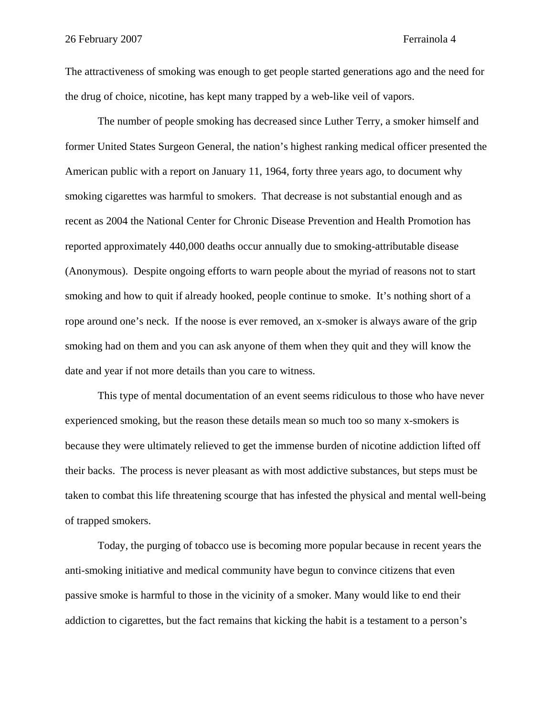The attractiveness of smoking was enough to get people started generations ago and the need for the drug of choice, nicotine, has kept many trapped by a web-like veil of vapors.

The number of people smoking has decreased since Luther Terry, a smoker himself and former United States Surgeon General, the nation's highest ranking medical officer presented the American public with a report on January 11, 1964, forty three years ago, to document why smoking cigarettes was harmful to smokers. That decrease is not substantial enough and as recent as 2004 the National Center for Chronic Disease Prevention and Health Promotion has reported approximately 440,000 deaths occur annually due to smoking-attributable disease (Anonymous). Despite ongoing efforts to warn people about the myriad of reasons not to start smoking and how to quit if already hooked, people continue to smoke. It's nothing short of a rope around one's neck. If the noose is ever removed, an x-smoker is always aware of the grip smoking had on them and you can ask anyone of them when they quit and they will know the date and year if not more details than you care to witness.

This type of mental documentation of an event seems ridiculous to those who have never experienced smoking, but the reason these details mean so much too so many x-smokers is because they were ultimately relieved to get the immense burden of nicotine addiction lifted off their backs. The process is never pleasant as with most addictive substances, but steps must be taken to combat this life threatening scourge that has infested the physical and mental well-being of trapped smokers.

Today, the purging of tobacco use is becoming more popular because in recent years the anti-smoking initiative and medical community have begun to convince citizens that even passive smoke is harmful to those in the vicinity of a smoker. Many would like to end their addiction to cigarettes, but the fact remains that kicking the habit is a testament to a person's